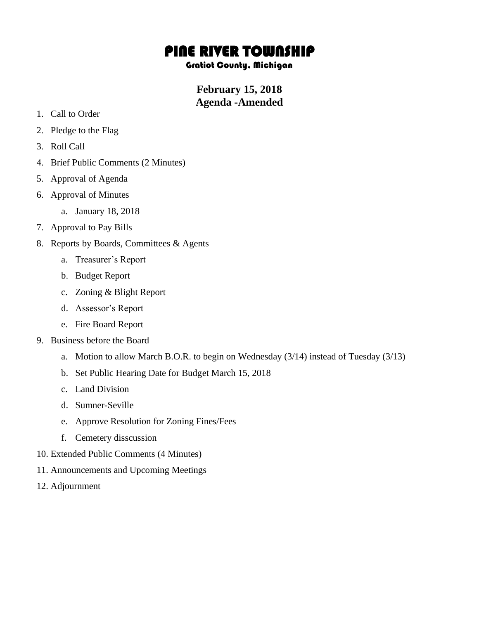## PINE RIVER TOWNSHIP

## Gratiot County, Michigan

## **February 15, 2018 Agenda -Amended**

- 1. Call to Order
- 2. Pledge to the Flag
- 3. Roll Call
- 4. Brief Public Comments (2 Minutes)
- 5. Approval of Agenda
- 6. Approval of Minutes
	- a. January 18, 2018
- 7. Approval to Pay Bills
- 8. Reports by Boards, Committees & Agents
	- a. Treasurer's Report
	- b. Budget Report
	- c. Zoning & Blight Report
	- d. Assessor's Report
	- e. Fire Board Report
- 9. Business before the Board
	- a. Motion to allow March B.O.R. to begin on Wednesday (3/14) instead of Tuesday (3/13)
	- b. Set Public Hearing Date for Budget March 15, 2018
	- c. Land Division
	- d. Sumner-Seville
	- e. Approve Resolution for Zoning Fines/Fees
	- f. Cemetery disscussion
- 10. Extended Public Comments (4 Minutes)
- 11. Announcements and Upcoming Meetings
- 12. Adjournment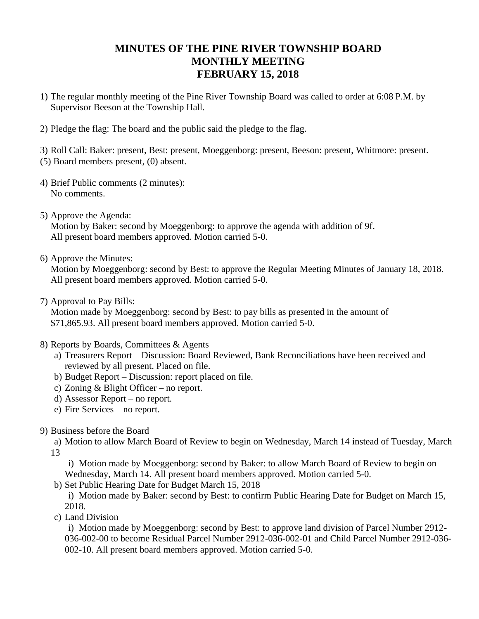## **MINUTES OF THE PINE RIVER TOWNSHIP BOARD MONTHLY MEETING FEBRUARY 15, 2018**

- 1) The regular monthly meeting of the Pine River Township Board was called to order at 6:08 P.M. by Supervisor Beeson at the Township Hall.
- 2) Pledge the flag: The board and the public said the pledge to the flag.

3) Roll Call: Baker: present, Best: present, Moeggenborg: present, Beeson: present, Whitmore: present. (5) Board members present, (0) absent.

- 4) Brief Public comments (2 minutes): No comments.
- 5) Approve the Agenda:

Motion by Baker: second by Moeggenborg: to approve the agenda with addition of 9f. All present board members approved. Motion carried 5-0.

6) Approve the Minutes:

Motion by Moeggenborg: second by Best: to approve the Regular Meeting Minutes of January 18, 2018. All present board members approved. Motion carried 5-0.

7) Approval to Pay Bills:

Motion made by Moeggenborg: second by Best: to pay bills as presented in the amount of \$71,865.93. All present board members approved. Motion carried 5-0.

- 8) Reports by Boards, Committees & Agents
	- a) Treasurers Report Discussion: Board Reviewed, Bank Reconciliations have been received and reviewed by all present. Placed on file.
	- b) Budget Report Discussion: report placed on file.
	- c) Zoning & Blight Officer no report.
	- d) Assessor Report no report.
	- e) Fire Services no report.
- 9) Business before the Board

a) Motion to allow March Board of Review to begin on Wednesday, March 14 instead of Tuesday, March 13

i) Motion made by Moeggenborg: second by Baker: to allow March Board of Review to begin on Wednesday, March 14. All present board members approved. Motion carried 5-0.

b) Set Public Hearing Date for Budget March 15, 2018

i) Motion made by Baker: second by Best: to confirm Public Hearing Date for Budget on March 15, 2018.

c) Land Division

i) Motion made by Moeggenborg: second by Best: to approve land division of Parcel Number 2912- 036-002-00 to become Residual Parcel Number 2912-036-002-01 and Child Parcel Number 2912-036- 002-10. All present board members approved. Motion carried 5-0.